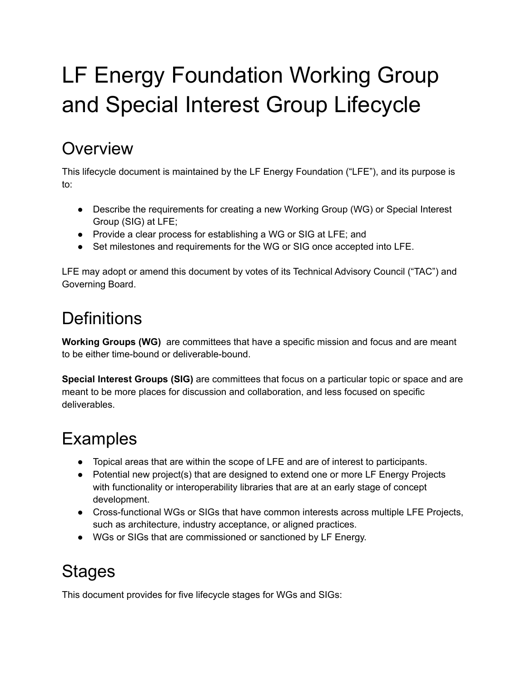# LF Energy Foundation Working Group and Special Interest Group Lifecycle

## **Overview**

This lifecycle document is maintained by the LF Energy Foundation ("LFE"), and its purpose is to:

- Describe the requirements for creating a new Working Group (WG) or Special Interest Group (SIG) at LFE;
- Provide a clear process for establishing a WG or SIG at LFE; and
- Set milestones and requirements for the WG or SIG once accepted into LFE.

LFE may adopt or amend this document by votes of its Technical Advisory Council ("TAC") and Governing Board.

## **Definitions**

**Working Groups (WG)** are committees that have a specific mission and focus and are meant to be either time-bound or deliverable-bound.

**Special Interest Groups (SIG)** are committees that focus on a particular topic or space and are meant to be more places for discussion and collaboration, and less focused on specific deliverables.

## Examples

- Topical areas that are within the scope of LFE and are of interest to participants.
- Potential new project(s) that are designed to extend one or more LF Energy Projects with functionality or interoperability libraries that are at an early stage of concept development.
- Cross-functional WGs or SIGs that have common interests across multiple LFE Projects, such as architecture, industry acceptance, or aligned practices.
- WGs or SIGs that are commissioned or sanctioned by LF Energy.

## **Stages**

This document provides for five lifecycle stages for WGs and SIGs: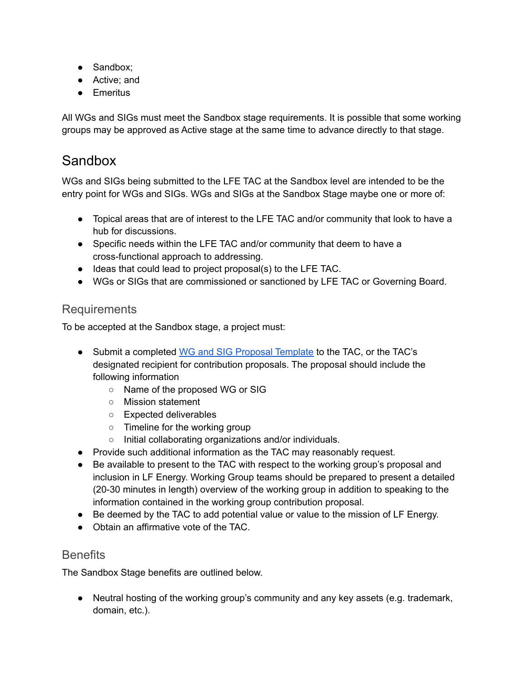- Sandbox;
- Active: and
- Emeritus

All WGs and SIGs must meet the Sandbox stage requirements. It is possible that some working groups may be approved as Active stage at the same time to advance directly to that stage.

### Sandbox

WGs and SIGs being submitted to the LFE TAC at the Sandbox level are intended to be the entry point for WGs and SIGs. WGs and SIGs at the Sandbox Stage maybe one or more of:

- Topical areas that are of interest to the LFE TAC and/or community that look to have a hub for discussions.
- Specific needs within the LFE TAC and/or community that deem to have a cross-functional approach to addressing.
- Ideas that could lead to project proposal(s) to the LFE TAC.
- WGs or SIGs that are commissioned or sanctioned by LFE TAC or Governing Board.

### Requirements

To be accepted at the Sandbox stage, a project must:

- Submit a completed WG and SIG Proposal [Template](https://wiki.lfenergy.org/display/HOME/New+Project+Proposals+Process) to the TAC, or the TAC's designated recipient for contribution proposals. The proposal should include the following information
	- Name of the proposed WG or SIG
	- Mission statement
	- Expected deliverables
	- Timeline for the working group
	- Initial collaborating organizations and/or individuals.
- Provide such additional information as the TAC may reasonably request.
- Be available to present to the TAC with respect to the working group's proposal and inclusion in LF Energy. Working Group teams should be prepared to present a detailed (20-30 minutes in length) overview of the working group in addition to speaking to the information contained in the working group contribution proposal.
- Be deemed by the TAC to add potential value or value to the mission of LF Energy.
- Obtain an affirmative vote of the TAC.

#### **Benefits**

The Sandbox Stage benefits are outlined below.

● Neutral hosting of the working group's community and any key assets (e.g. trademark, domain, etc.).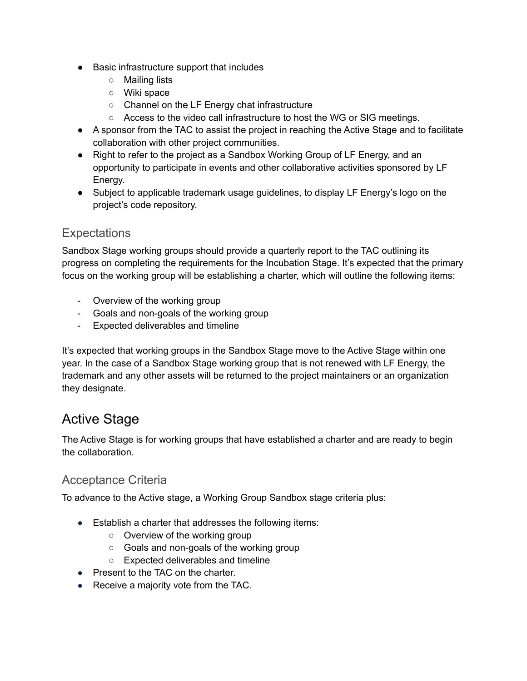- Basic infrastructure support that includes
	- Mailing lists
	- Wiki space
	- Channel on the LF Energy chat infrastructure
	- Access to the video call infrastructure to host the WG or SIG meetings.
- A sponsor from the TAC to assist the project in reaching the Active Stage and to facilitate collaboration with other project communities.
- Right to refer to the project as a Sandbox Working Group of LF Energy, and an opportunity to participate in events and other collaborative activities sponsored by LF Energy.
- Subject to applicable trademark usage guidelines, to display LF Energy's logo on the project's code repository.

### **Expectations**

Sandbox Stage working groups should provide a quarterly report to the TAC outlining its progress on completing the requirements for the Incubation Stage. It's expected that the primary focus on the working group will be establishing a charter, which will outline the following items:

- Overview of the working group
- Goals and non-goals of the working group
- Expected deliverables and timeline

It's expected that working groups in the Sandbox Stage move to the Active Stage within one year. In the case of a Sandbox Stage working group that is not renewed with LF Energy, the trademark and any other assets will be returned to the project maintainers or an organization they designate.

### Active Stage

The Active Stage is for working groups that have established a charter and are ready to begin the collaboration.

#### Acceptance Criteria

To advance to the Active stage, a Working Group Sandbox stage criteria plus:

- Establish a charter that addresses the following items:
	- Overview of the working group
	- Goals and non-goals of the working group
	- Expected deliverables and timeline
- Present to the TAC on the charter.
- Receive a majority vote from the TAC.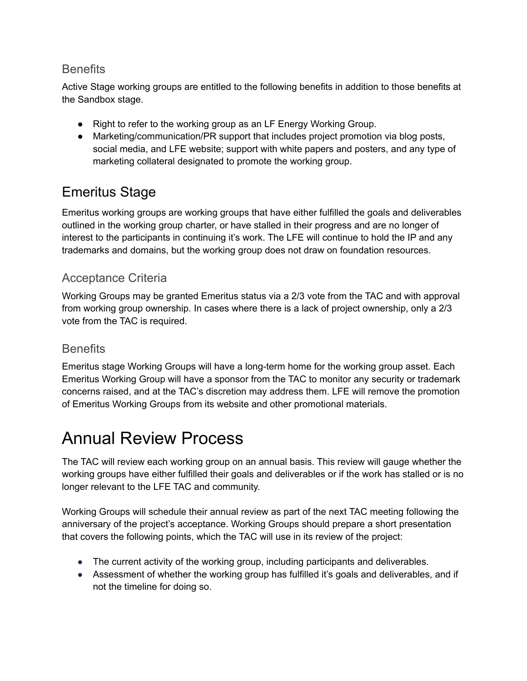#### **Benefits**

Active Stage working groups are entitled to the following benefits in addition to those benefits at the Sandbox stage.

- Right to refer to the working group as an LF Energy Working Group.
- Marketing/communication/PR support that includes project promotion via blog posts, social media, and LFE website; support with white papers and posters, and any type of marketing collateral designated to promote the working group.

## Emeritus Stage

Emeritus working groups are working groups that have either fulfilled the goals and deliverables outlined in the working group charter, or have stalled in their progress and are no longer of interest to the participants in continuing it's work. The LFE will continue to hold the IP and any trademarks and domains, but the working group does not draw on foundation resources.

### Acceptance Criteria

Working Groups may be granted Emeritus status via a 2/3 vote from the TAC and with approval from working group ownership. In cases where there is a lack of project ownership, only a 2/3 vote from the TAC is required.

### **Benefits**

Emeritus stage Working Groups will have a long-term home for the working group asset. Each Emeritus Working Group will have a sponsor from the TAC to monitor any security or trademark concerns raised, and at the TAC's discretion may address them. LFE will remove the promotion of Emeritus Working Groups from its website and other promotional materials.

## Annual Review Process

The TAC will review each working group on an annual basis. This review will gauge whether the working groups have either fulfilled their goals and deliverables or if the work has stalled or is no longer relevant to the LFE TAC and community.

Working Groups will schedule their annual review as part of the next TAC meeting following the anniversary of the project's acceptance. Working Groups should prepare a short presentation that covers the following points, which the TAC will use in its review of the project:

- The current activity of the working group, including participants and deliverables.
- Assessment of whether the working group has fulfilled it's goals and deliverables, and if not the timeline for doing so.